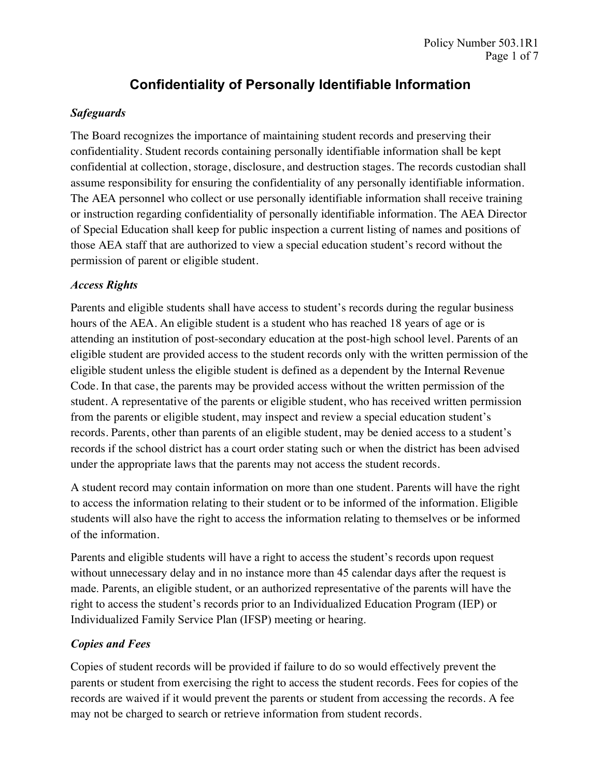#### *Safeguards*

The Board recognizes the importance of maintaining student records and preserving their confidentiality. Student records containing personally identifiable information shall be kept confidential at collection, storage, disclosure, and destruction stages. The records custodian shall assume responsibility for ensuring the confidentiality of any personally identifiable information. The AEA personnel who collect or use personally identifiable information shall receive training or instruction regarding confidentiality of personally identifiable information. The AEA Director of Special Education shall keep for public inspection a current listing of names and positions of those AEA staff that are authorized to view a special education student's record without the permission of parent or eligible student.

#### *Access Rights*

Parents and eligible students shall have access to student's records during the regular business hours of the AEA. An eligible student is a student who has reached 18 years of age or is attending an institution of post-secondary education at the post-high school level. Parents of an eligible student are provided access to the student records only with the written permission of the eligible student unless the eligible student is defined as a dependent by the Internal Revenue Code. In that case, the parents may be provided access without the written permission of the student. A representative of the parents or eligible student, who has received written permission from the parents or eligible student, may inspect and review a special education student's records. Parents, other than parents of an eligible student, may be denied access to a student's records if the school district has a court order stating such or when the district has been advised under the appropriate laws that the parents may not access the student records.

A student record may contain information on more than one student. Parents will have the right to access the information relating to their student or to be informed of the information. Eligible students will also have the right to access the information relating to themselves or be informed of the information.

Parents and eligible students will have a right to access the student's records upon request without unnecessary delay and in no instance more than 45 calendar days after the request is made. Parents, an eligible student, or an authorized representative of the parents will have the right to access the student's records prior to an Individualized Education Program (IEP) or Individualized Family Service Plan (IFSP) meeting or hearing.

### *Copies and Fees*

Copies of student records will be provided if failure to do so would effectively prevent the parents or student from exercising the right to access the student records. Fees for copies of the records are waived if it would prevent the parents or student from accessing the records. A fee may not be charged to search or retrieve information from student records.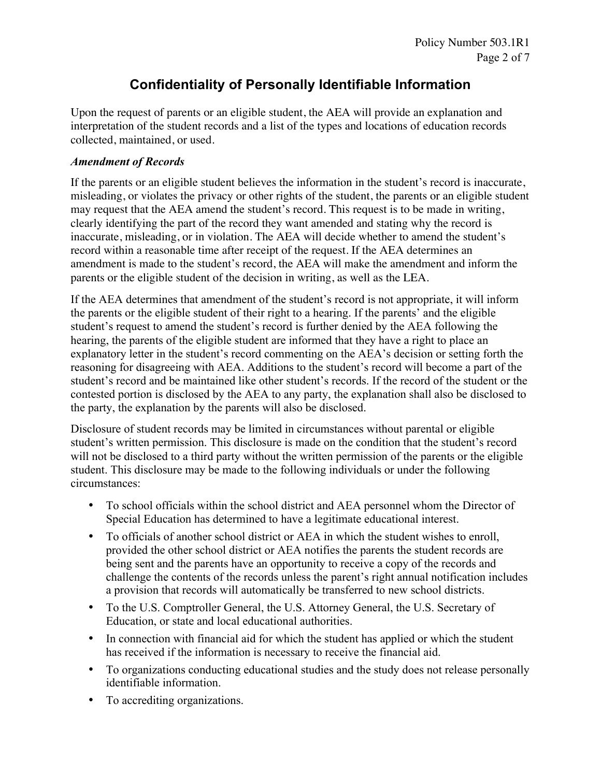Upon the request of parents or an eligible student, the AEA will provide an explanation and interpretation of the student records and a list of the types and locations of education records collected, maintained, or used.

#### *Amendment of Records*

If the parents or an eligible student believes the information in the student's record is inaccurate, misleading, or violates the privacy or other rights of the student, the parents or an eligible student may request that the AEA amend the student's record. This request is to be made in writing, clearly identifying the part of the record they want amended and stating why the record is inaccurate, misleading, or in violation. The AEA will decide whether to amend the student's record within a reasonable time after receipt of the request. If the AEA determines an amendment is made to the student's record, the AEA will make the amendment and inform the parents or the eligible student of the decision in writing, as well as the LEA.

If the AEA determines that amendment of the student's record is not appropriate, it will inform the parents or the eligible student of their right to a hearing. If the parents' and the eligible student's request to amend the student's record is further denied by the AEA following the hearing, the parents of the eligible student are informed that they have a right to place an explanatory letter in the student's record commenting on the AEA's decision or setting forth the reasoning for disagreeing with AEA. Additions to the student's record will become a part of the student's record and be maintained like other student's records. If the record of the student or the contested portion is disclosed by the AEA to any party, the explanation shall also be disclosed to the party, the explanation by the parents will also be disclosed.

Disclosure of student records may be limited in circumstances without parental or eligible student's written permission. This disclosure is made on the condition that the student's record will not be disclosed to a third party without the written permission of the parents or the eligible student. This disclosure may be made to the following individuals or under the following circumstances:

- To school officials within the school district and AEA personnel whom the Director of Special Education has determined to have a legitimate educational interest.
- To officials of another school district or AEA in which the student wishes to enroll, provided the other school district or AEA notifies the parents the student records are being sent and the parents have an opportunity to receive a copy of the records and challenge the contents of the records unless the parent's right annual notification includes a provision that records will automatically be transferred to new school districts.
- To the U.S. Comptroller General, the U.S. Attorney General, the U.S. Secretary of Education, or state and local educational authorities.
- In connection with financial aid for which the student has applied or which the student has received if the information is necessary to receive the financial aid.
- To organizations conducting educational studies and the study does not release personally identifiable information.
- To accrediting organizations.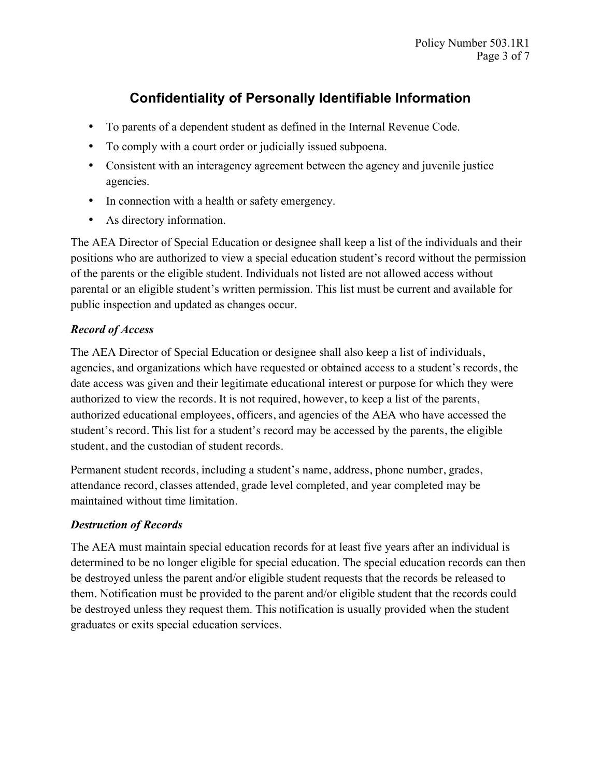- To parents of a dependent student as defined in the Internal Revenue Code.
- To comply with a court order or judicially issued subpoena.
- Consistent with an interagency agreement between the agency and juvenile justice agencies.
- In connection with a health or safety emergency.
- As directory information.

The AEA Director of Special Education or designee shall keep a list of the individuals and their positions who are authorized to view a special education student's record without the permission of the parents or the eligible student. Individuals not listed are not allowed access without parental or an eligible student's written permission. This list must be current and available for public inspection and updated as changes occur.

### *Record of Access*

The AEA Director of Special Education or designee shall also keep a list of individuals, agencies, and organizations which have requested or obtained access to a student's records, the date access was given and their legitimate educational interest or purpose for which they were authorized to view the records. It is not required, however, to keep a list of the parents, authorized educational employees, officers, and agencies of the AEA who have accessed the student's record. This list for a student's record may be accessed by the parents, the eligible student, and the custodian of student records.

Permanent student records, including a student's name, address, phone number, grades, attendance record, classes attended, grade level completed, and year completed may be maintained without time limitation.

### *Destruction of Records*

The AEA must maintain special education records for at least five years after an individual is determined to be no longer eligible for special education. The special education records can then be destroyed unless the parent and/or eligible student requests that the records be released to them. Notification must be provided to the parent and/or eligible student that the records could be destroyed unless they request them. This notification is usually provided when the student graduates or exits special education services.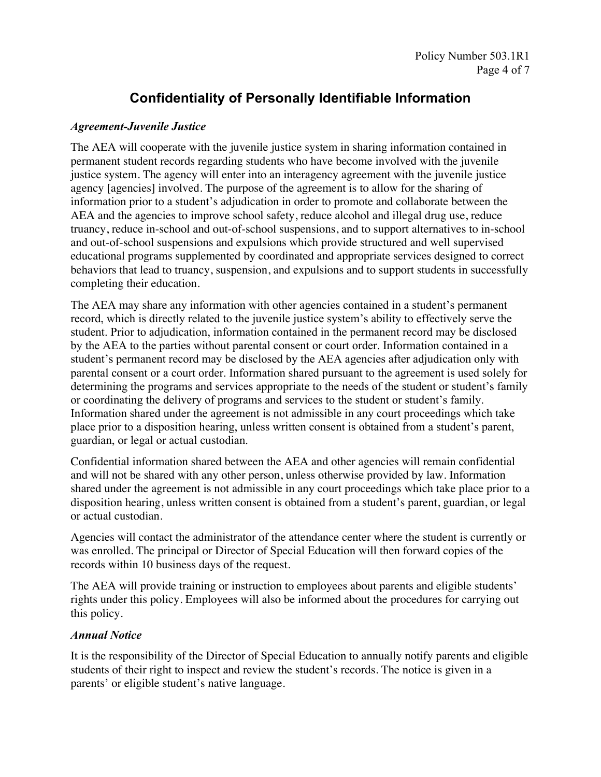#### *Agreement-Juvenile Justice*

The AEA will cooperate with the juvenile justice system in sharing information contained in permanent student records regarding students who have become involved with the juvenile justice system. The agency will enter into an interagency agreement with the juvenile justice agency [agencies] involved. The purpose of the agreement is to allow for the sharing of information prior to a student's adjudication in order to promote and collaborate between the AEA and the agencies to improve school safety, reduce alcohol and illegal drug use, reduce truancy, reduce in-school and out-of-school suspensions, and to support alternatives to in-school and out-of-school suspensions and expulsions which provide structured and well supervised educational programs supplemented by coordinated and appropriate services designed to correct behaviors that lead to truancy, suspension, and expulsions and to support students in successfully completing their education.

The AEA may share any information with other agencies contained in a student's permanent record, which is directly related to the juvenile justice system's ability to effectively serve the student. Prior to adjudication, information contained in the permanent record may be disclosed by the AEA to the parties without parental consent or court order. Information contained in a student's permanent record may be disclosed by the AEA agencies after adjudication only with parental consent or a court order. Information shared pursuant to the agreement is used solely for determining the programs and services appropriate to the needs of the student or student's family or coordinating the delivery of programs and services to the student or student's family. Information shared under the agreement is not admissible in any court proceedings which take place prior to a disposition hearing, unless written consent is obtained from a student's parent, guardian, or legal or actual custodian.

Confidential information shared between the AEA and other agencies will remain confidential and will not be shared with any other person, unless otherwise provided by law. Information shared under the agreement is not admissible in any court proceedings which take place prior to a disposition hearing, unless written consent is obtained from a student's parent, guardian, or legal or actual custodian.

Agencies will contact the administrator of the attendance center where the student is currently or was enrolled. The principal or Director of Special Education will then forward copies of the records within 10 business days of the request.

The AEA will provide training or instruction to employees about parents and eligible students' rights under this policy. Employees will also be informed about the procedures for carrying out this policy.

#### *Annual Notice*

It is the responsibility of the Director of Special Education to annually notify parents and eligible students of their right to inspect and review the student's records. The notice is given in a parents' or eligible student's native language.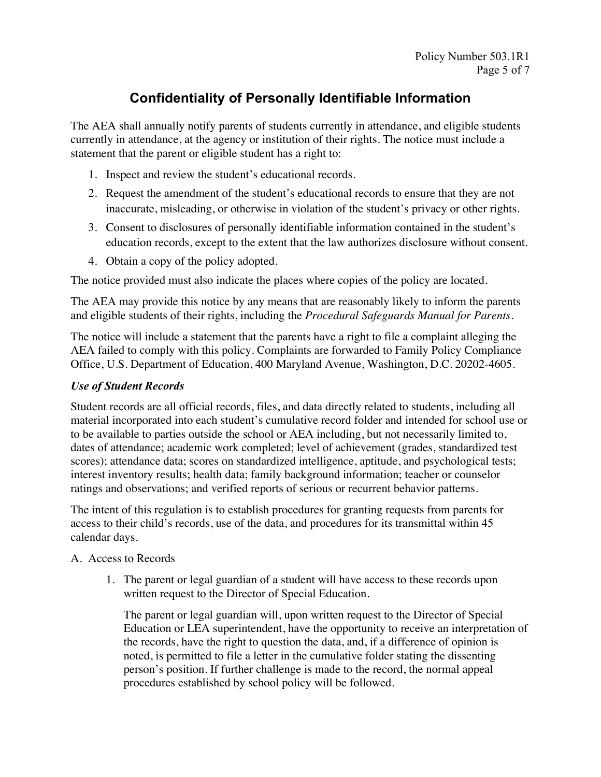The AEA shall annually notify parents of students currently in attendance, and eligible students currently in attendance, at the agency or institution of their rights. The notice must include a statement that the parent or eligible student has a right to:

- 1. Inspect and review the student's educational records.
- 2. Request the amendment of the student's educational records to ensure that they are not inaccurate, misleading, or otherwise in violation of the student's privacy or other rights.
- 3. Consent to disclosures of personally identifiable information contained in the student's education records, except to the extent that the law authorizes disclosure without consent.
- 4. Obtain a copy of the policy adopted.

The notice provided must also indicate the places where copies of the policy are located.

The AEA may provide this notice by any means that are reasonably likely to inform the parents and eligible students of their rights, including the *Procedural Safeguards Manual for Parents*.

The notice will include a statement that the parents have a right to file a complaint alleging the AEA failed to comply with this policy. Complaints are forwarded to Family Policy Compliance Office, U.S. Department of Education, 400 Maryland Avenue, Washington, D.C. 20202-4605.

### *Use of Student Records*

Student records are all official records, files, and data directly related to students, including all material incorporated into each student's cumulative record folder and intended for school use or to be available to parties outside the school or AEA including, but not necessarily limited to, dates of attendance; academic work completed; level of achievement (grades, standardized test scores); attendance data; scores on standardized intelligence, aptitude, and psychological tests; interest inventory results; health data; family background information; teacher or counselor ratings and observations; and verified reports of serious or recurrent behavior patterns.

The intent of this regulation is to establish procedures for granting requests from parents for access to their child's records, use of the data, and procedures for its transmittal within 45 calendar days.

#### A. Access to Records

1. The parent or legal guardian of a student will have access to these records upon written request to the Director of Special Education.

The parent or legal guardian will, upon written request to the Director of Special Education or LEA superintendent, have the opportunity to receive an interpretation of the records, have the right to question the data, and, if a difference of opinion is noted, is permitted to file a letter in the cumulative folder stating the dissenting person's position. If further challenge is made to the record, the normal appeal procedures established by school policy will be followed.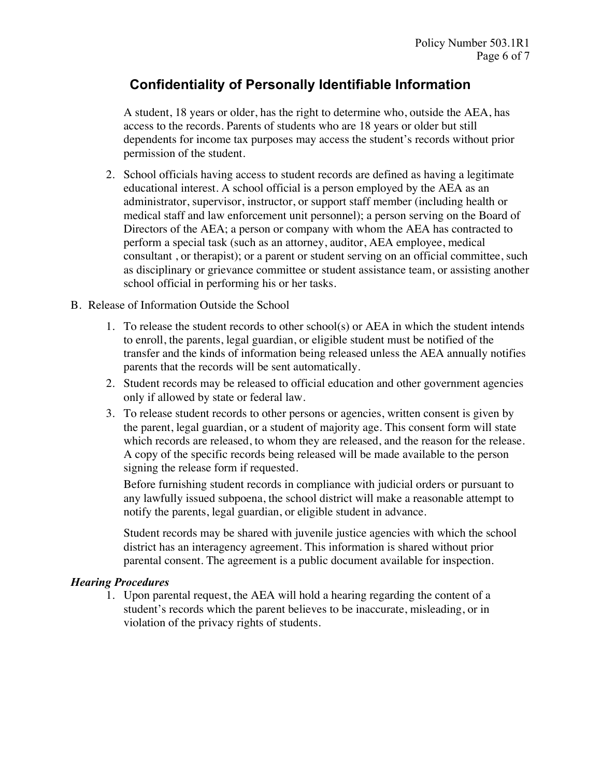A student, 18 years or older, has the right to determine who, outside the AEA, has access to the records. Parents of students who are 18 years or older but still dependents for income tax purposes may access the student's records without prior permission of the student.

2. School officials having access to student records are defined as having a legitimate educational interest. A school official is a person employed by the AEA as an administrator, supervisor, instructor, or support staff member (including health or medical staff and law enforcement unit personnel); a person serving on the Board of Directors of the AEA; a person or company with whom the AEA has contracted to perform a special task (such as an attorney, auditor, AEA employee, medical consultant , or therapist); or a parent or student serving on an official committee, such as disciplinary or grievance committee or student assistance team, or assisting another school official in performing his or her tasks.

#### B. Release of Information Outside the School

- 1. To release the student records to other school(s) or AEA in which the student intends to enroll, the parents, legal guardian, or eligible student must be notified of the transfer and the kinds of information being released unless the AEA annually notifies parents that the records will be sent automatically.
- 2. Student records may be released to official education and other government agencies only if allowed by state or federal law.
- 3. To release student records to other persons or agencies, written consent is given by the parent, legal guardian, or a student of majority age. This consent form will state which records are released, to whom they are released, and the reason for the release. A copy of the specific records being released will be made available to the person signing the release form if requested.

Before furnishing student records in compliance with judicial orders or pursuant to any lawfully issued subpoena, the school district will make a reasonable attempt to notify the parents, legal guardian, or eligible student in advance.

Student records may be shared with juvenile justice agencies with which the school district has an interagency agreement. This information is shared without prior parental consent. The agreement is a public document available for inspection.

### *Hearing Procedures*

1. Upon parental request, the AEA will hold a hearing regarding the content of a student's records which the parent believes to be inaccurate, misleading, or in violation of the privacy rights of students.